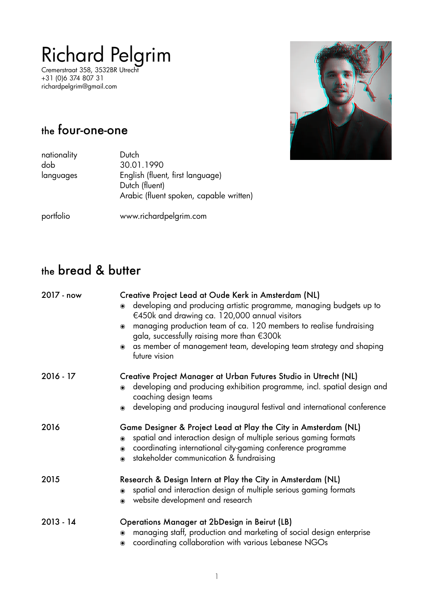# Richard Pelgrim

Cremerstraat 358, 3532BR Utrecht +31 (0)6 374 807 31 richardpelgrim@gmail.com



## the four-one-one

| nationality<br>dob | Dutch<br>30.01.1990                     |
|--------------------|-----------------------------------------|
|                    |                                         |
| languages          | English (fluent, first language)        |
|                    | Dutch (fluent)                          |
|                    | Arabic (fluent spoken, capable written) |
| portfolio          | www.richardpelgrim.com                  |

## the bread & butter

| 2017 - now  | Creative Project Lead at Oude Kerk in Amsterdam (NL)<br>developing and producing artistic programme, managing budgets up to<br>$\odot$<br>€450k and drawing ca. 120,000 annual visitors<br>managing production team of ca. 120 members to realise fundraising<br>$\odot$<br>gala, successfully raising more than €300k<br>as member of management team, developing team strategy and shaping<br>$\bullet$<br>future vision |
|-------------|----------------------------------------------------------------------------------------------------------------------------------------------------------------------------------------------------------------------------------------------------------------------------------------------------------------------------------------------------------------------------------------------------------------------------|
| $2016 - 17$ | Creative Project Manager at Urban Futures Studio in Utrecht (NL)<br>developing and producing exhibition programme, incl. spatial design and<br>$\odot$<br>coaching design teams                                                                                                                                                                                                                                            |
|             | • developing and producing inaugural festival and international conference                                                                                                                                                                                                                                                                                                                                                 |
| 2016        | Game Designer & Project Lead at Play the City in Amsterdam (NL)<br>spatial and interaction design of multiple serious gaming formats<br>$\odot$<br>coordinating international city-gaming conference programme<br>$\odot$<br>stakeholder communication & fundraising<br>$\bullet$                                                                                                                                          |
| 2015        | Research & Design Intern at Play the City in Amsterdam (NL)<br>spatial and interaction design of multiple serious gaming formats<br>$\odot$<br>website development and research<br>$\bullet$                                                                                                                                                                                                                               |
| $2013 - 14$ | Operations Manager at 2bDesign in Beirut (LB)<br>managing staff, production and marketing of social design enterprise<br>$\odot$<br>coordinating collaboration with various Lebanese NGOs<br>$\odot$                                                                                                                                                                                                                       |